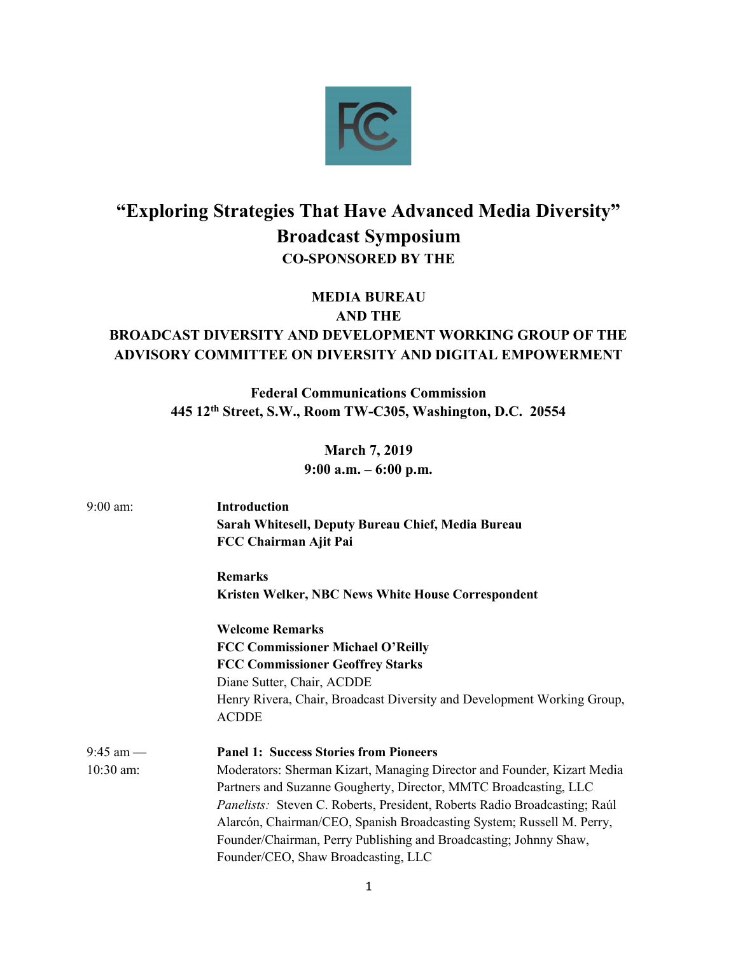

## "Exploring Strategies That Have Advanced Media Diversity" Broadcast Symposium CO-SPONSORED BY THE

MEDIA BUREAU AND THE

## BROADCAST DIVERSITY AND DEVELOPMENT WORKING GROUP OF THE ADVISORY COMMITTEE ON DIVERSITY AND DIGITAL EMPOWERMENT

Federal Communications Commission 445 12th Street, S.W., Room TW-C305, Washington, D.C. 20554

> March 7, 2019 9:00 a.m. – 6:00 p.m.

| $9:00$ am:  | <b>Introduction</b><br>Sarah Whitesell, Deputy Bureau Chief, Media Bureau<br>FCC Chairman Ajit Pai |
|-------------|----------------------------------------------------------------------------------------------------|
|             | <b>Remarks</b>                                                                                     |
|             | <b>Kristen Welker, NBC News White House Correspondent</b>                                          |
|             | <b>Welcome Remarks</b>                                                                             |
|             | <b>FCC Commissioner Michael O'Reilly</b>                                                           |
|             | <b>FCC Commissioner Geoffrey Starks</b>                                                            |
|             | Diane Sutter, Chair, ACDDE                                                                         |
|             | Henry Rivera, Chair, Broadcast Diversity and Development Working Group,<br><b>ACDDE</b>            |
|             |                                                                                                    |
| $9:45$ am — | <b>Panel 1: Success Stories from Pioneers</b>                                                      |
| 10:30 am:   | Moderators: Sherman Kizart, Managing Director and Founder, Kizart Media                            |
|             | Partners and Suzanne Gougherty, Director, MMTC Broadcasting, LLC                                   |
|             | Panelists: Steven C. Roberts, President, Roberts Radio Broadcasting; Raúl                          |
|             | Alarcón, Chairman/CEO, Spanish Broadcasting System; Russell M. Perry,                              |
|             | Founder/Chairman, Perry Publishing and Broadcasting; Johnny Shaw,                                  |
|             | Founder/CEO, Shaw Broadcasting, LLC                                                                |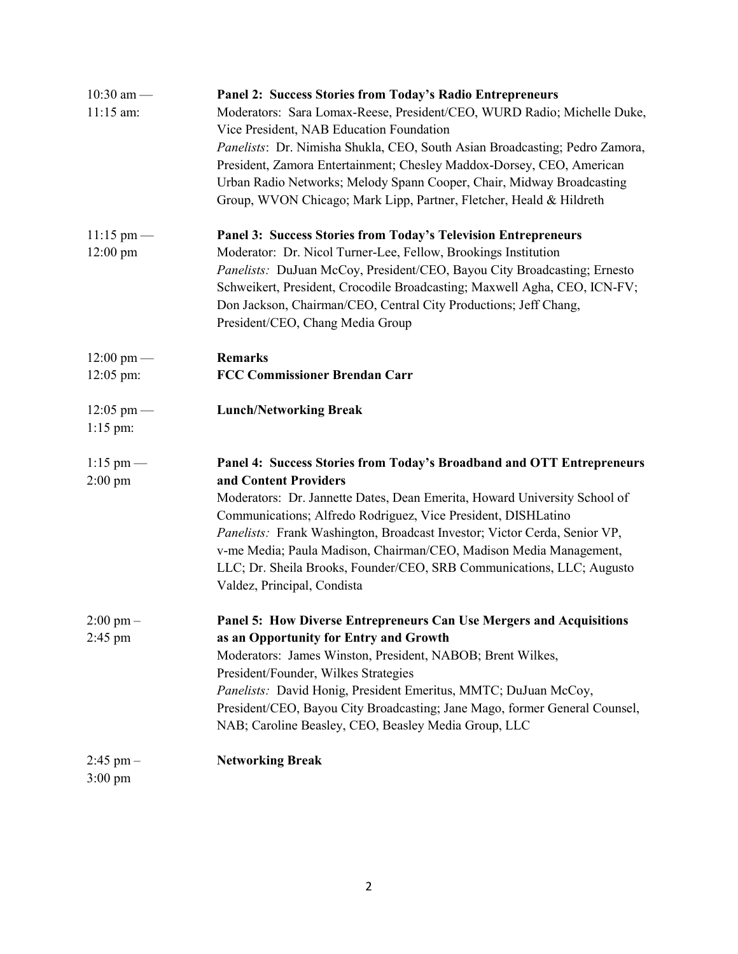| $10:30$ am -                       | <b>Panel 2: Success Stories from Today's Radio Entrepreneurs</b>                                                                           |
|------------------------------------|--------------------------------------------------------------------------------------------------------------------------------------------|
| 11:15 am:                          | Moderators: Sara Lomax-Reese, President/CEO, WURD Radio; Michelle Duke,                                                                    |
|                                    | Vice President, NAB Education Foundation                                                                                                   |
|                                    | Panelists: Dr. Nimisha Shukla, CEO, South Asian Broadcasting; Pedro Zamora,                                                                |
|                                    | President, Zamora Entertainment; Chesley Maddox-Dorsey, CEO, American                                                                      |
|                                    | Urban Radio Networks; Melody Spann Cooper, Chair, Midway Broadcasting                                                                      |
|                                    | Group, WVON Chicago; Mark Lipp, Partner, Fletcher, Heald & Hildreth                                                                        |
| $11:15 \text{ pm}$ —               | Panel 3: Success Stories from Today's Television Entrepreneurs                                                                             |
| $12:00 \text{ pm}$                 | Moderator: Dr. Nicol Turner-Lee, Fellow, Brookings Institution                                                                             |
|                                    | Panelists: DuJuan McCoy, President/CEO, Bayou City Broadcasting; Ernesto                                                                   |
|                                    | Schweikert, President, Crocodile Broadcasting; Maxwell Agha, CEO, ICN-FV;                                                                  |
|                                    | Don Jackson, Chairman/CEO, Central City Productions; Jeff Chang,                                                                           |
|                                    | President/CEO, Chang Media Group                                                                                                           |
| $12:00 \text{ pm}$ —               | <b>Remarks</b>                                                                                                                             |
| $12:05$ pm:                        | <b>FCC Commissioner Brendan Carr</b>                                                                                                       |
| $12:05 \text{ pm}$ —               | <b>Lunch/Networking Break</b>                                                                                                              |
| $1:15$ pm:                         |                                                                                                                                            |
| $1:15$ pm —                        | Panel 4: Success Stories from Today's Broadband and OTT Entrepreneurs                                                                      |
| $2:00$ pm                          | and Content Providers                                                                                                                      |
|                                    | Moderators: Dr. Jannette Dates, Dean Emerita, Howard University School of<br>Communications; Alfredo Rodriguez, Vice President, DISHLatino |
|                                    | Panelists: Frank Washington, Broadcast Investor; Victor Cerda, Senior VP,                                                                  |
|                                    | v-me Media; Paula Madison, Chairman/CEO, Madison Media Management,                                                                         |
|                                    | LLC; Dr. Sheila Brooks, Founder/CEO, SRB Communications, LLC; Augusto                                                                      |
|                                    | Valdez, Principal, Condista                                                                                                                |
|                                    |                                                                                                                                            |
| $2:00 \text{ pm} -$                | Panel 5: How Diverse Entrepreneurs Can Use Mergers and Acquisitions                                                                        |
| $2:45$ pm                          | as an Opportunity for Entry and Growth                                                                                                     |
|                                    | Moderators: James Winston, President, NABOB; Brent Wilkes,                                                                                 |
|                                    | President/Founder, Wilkes Strategies                                                                                                       |
|                                    | Panelists: David Honig, President Emeritus, MMTC; DuJuan McCoy,                                                                            |
|                                    | President/CEO, Bayou City Broadcasting; Jane Mago, former General Counsel,                                                                 |
|                                    | NAB; Caroline Beasley, CEO, Beasley Media Group, LLC                                                                                       |
| $2:45$ pm $-$<br>$3:00 \text{ pm}$ | <b>Networking Break</b>                                                                                                                    |